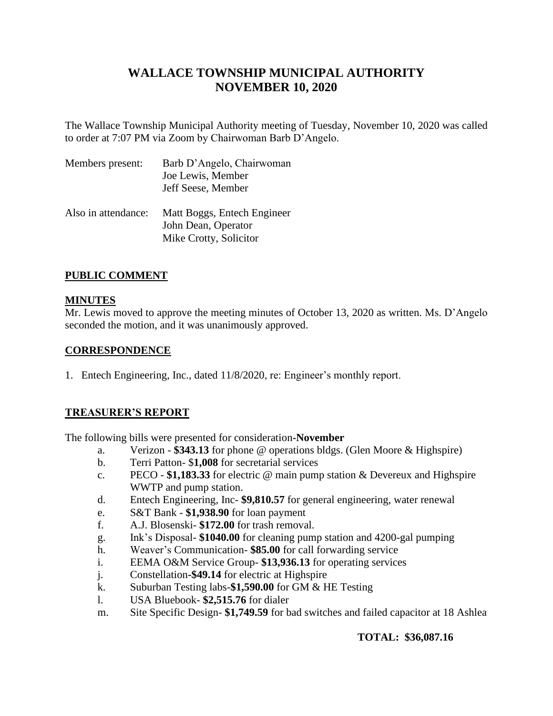# **WALLACE TOWNSHIP MUNICIPAL AUTHORITY NOVEMBER 10, 2020**

The Wallace Township Municipal Authority meeting of Tuesday, November 10, 2020 was called to order at 7:07 PM via Zoom by Chairwoman Barb D'Angelo.

| Members present:    | Barb D'Angelo, Chairwoman<br>Joe Lewis, Member<br>Jeff Seese, Member         |
|---------------------|------------------------------------------------------------------------------|
| Also in attendance: | Matt Boggs, Entech Engineer<br>John Dean, Operator<br>Mike Crotty, Solicitor |

### **PUBLIC COMMENT**

### **MINUTES**

Mr. Lewis moved to approve the meeting minutes of October 13, 2020 as written. Ms. D'Angelo seconded the motion, and it was unanimously approved.

### **CORRESPONDENCE**

1. Entech Engineering, Inc., dated 11/8/2020, re: Engineer's monthly report.

### **TREASURER'S REPORT**

The following bills were presented for consideration**-November**

- a. Verizon **\$343.13** for phone @ operations bldgs. (Glen Moore & Highspire)
- b. Terri Patton- \$**1,008** for secretarial services
- c. PECO **\$1,183.33** for electric @ main pump station & Devereux and Highspire WWTP and pump station.
- d. Entech Engineering, Inc- **\$9,810.57** for general engineering, water renewal
- e. S&T Bank **\$1,938.90** for loan payment
- f. A.J. Blosenski- **\$172.00** for trash removal.
- g. Ink's Disposal- **\$1040.00** for cleaning pump station and 4200-gal pumping
- h. Weaver's Communication- **\$85.00** for call forwarding service
- i. EEMA O&M Service Group- **\$13,936.13** for operating services
- j. Constellation**-\$49.14** for electric at Highspire
- k. Suburban Testing labs-**\$1,590.00** for GM & HE Testing
- l. USA Bluebook- **\$2,515.76** for dialer
- m. Site Specific Design- **\$1,749.59** for bad switches and failed capacitor at 18 Ashlea

### **TOTAL: \$36,087.16**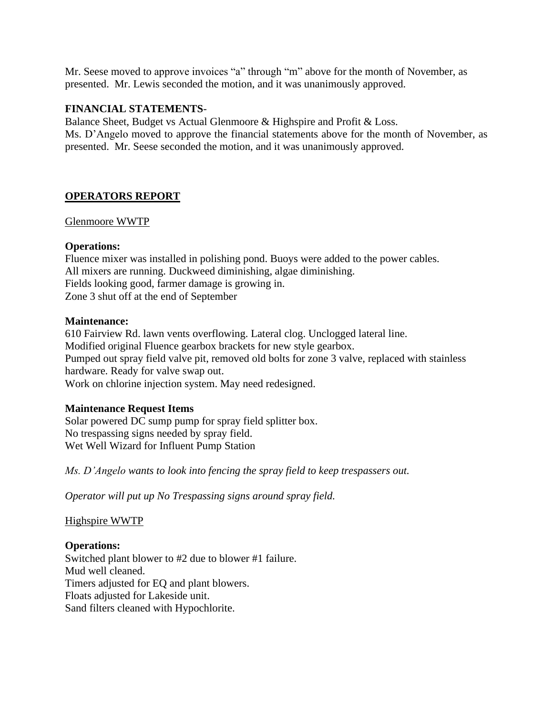Mr. Seese moved to approve invoices "a" through "m" above for the month of November, as presented. Mr. Lewis seconded the motion, and it was unanimously approved.

#### **FINANCIAL STATEMENTS**-

Balance Sheet, Budget vs Actual Glenmoore & Highspire and Profit & Loss. Ms. D'Angelo moved to approve the financial statements above for the month of November, as presented. Mr. Seese seconded the motion, and it was unanimously approved.

## **OPERATORS REPORT**

#### Glenmoore WWTP

#### **Operations:**

Fluence mixer was installed in polishing pond. Buoys were added to the power cables. All mixers are running. Duckweed diminishing, algae diminishing. Fields looking good, farmer damage is growing in. Zone 3 shut off at the end of September

#### **Maintenance:**

610 Fairview Rd. lawn vents overflowing. Lateral clog. Unclogged lateral line. Modified original Fluence gearbox brackets for new style gearbox. Pumped out spray field valve pit, removed old bolts for zone 3 valve, replaced with stainless hardware. Ready for valve swap out. Work on chlorine injection system. May need redesigned.

### **Maintenance Request Items**

Solar powered DC sump pump for spray field splitter box. No trespassing signs needed by spray field. Wet Well Wizard for Influent Pump Station

*Ms. D'Angelo wants to look into fencing the spray field to keep trespassers out.*

*Operator will put up No Trespassing signs around spray field.*

Highspire WWTP

**Operations:** Switched plant blower to #2 due to blower #1 failure. Mud well cleaned. Timers adjusted for EQ and plant blowers. Floats adjusted for Lakeside unit. Sand filters cleaned with Hypochlorite.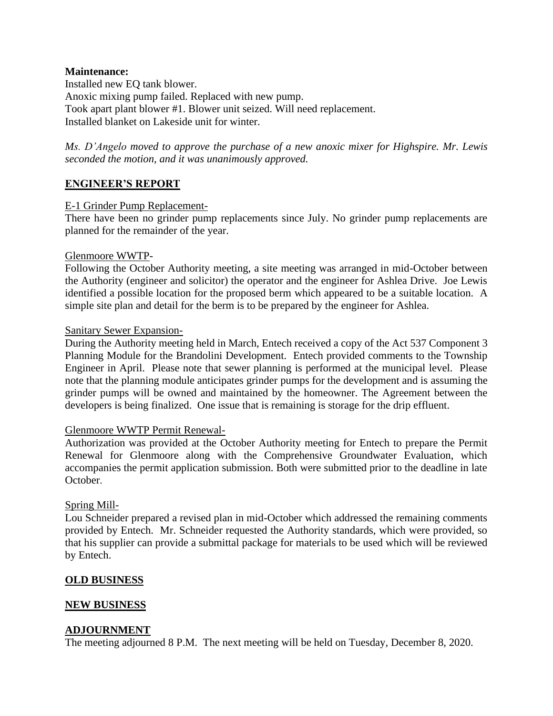#### **Maintenance:**

Installed new EQ tank blower. Anoxic mixing pump failed. Replaced with new pump. Took apart plant blower #1. Blower unit seized. Will need replacement. Installed blanket on Lakeside unit for winter.

*Ms. D'Angelo moved to approve the purchase of a new anoxic mixer for Highspire. Mr. Lewis seconded the motion, and it was unanimously approved.* 

### **ENGINEER'S REPORT**

#### E-1 Grinder Pump Replacement-

There have been no grinder pump replacements since July. No grinder pump replacements are planned for the remainder of the year.

#### Glenmoore WWTP-

Following the October Authority meeting, a site meeting was arranged in mid-October between the Authority (engineer and solicitor) the operator and the engineer for Ashlea Drive. Joe Lewis identified a possible location for the proposed berm which appeared to be a suitable location. A simple site plan and detail for the berm is to be prepared by the engineer for Ashlea.

#### Sanitary Sewer Expansion-

During the Authority meeting held in March, Entech received a copy of the Act 537 Component 3 Planning Module for the Brandolini Development. Entech provided comments to the Township Engineer in April. Please note that sewer planning is performed at the municipal level. Please note that the planning module anticipates grinder pumps for the development and is assuming the grinder pumps will be owned and maintained by the homeowner. The Agreement between the developers is being finalized. One issue that is remaining is storage for the drip effluent.

#### Glenmoore WWTP Permit Renewal-

Authorization was provided at the October Authority meeting for Entech to prepare the Permit Renewal for Glenmoore along with the Comprehensive Groundwater Evaluation, which accompanies the permit application submission. Both were submitted prior to the deadline in late October.

#### Spring Mill-

Lou Schneider prepared a revised plan in mid-October which addressed the remaining comments provided by Entech. Mr. Schneider requested the Authority standards, which were provided, so that his supplier can provide a submittal package for materials to be used which will be reviewed by Entech.

#### **OLD BUSINESS**

#### **NEW BUSINESS**

#### **ADJOURNMENT**

The meeting adjourned 8 P.M. The next meeting will be held on Tuesday, December 8, 2020.